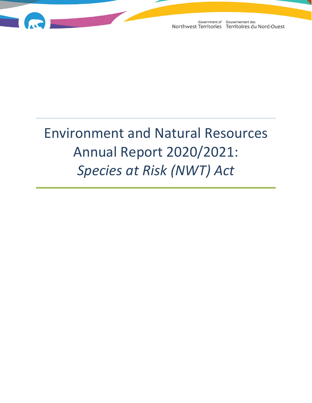

# Environment and Natural Resources Annual Report 2020/2021: *Species at Risk (NWT) Act*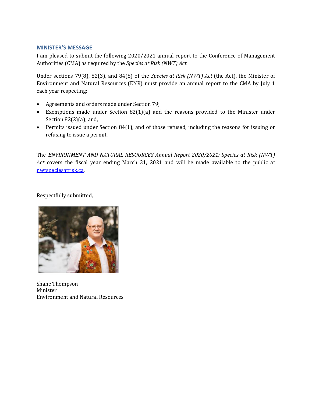#### **MINISTER'S MESSAGE**

I am pleased to submit the following 2020/2021 annual report to the Conference of Management Authorities (CMA) as required by the *Species at Risk (NWT) Act.*

Under sections 79(8), 82(3), and 84(8) of the *Species at Risk (NWT) Act* (the Act), the Minister of Environment and Natural Resources (ENR) must provide an annual report to the CMA by July 1 each year respecting:

- Agreements and orders made under Section 79;
- Exemptions made under Section 82(1)(a) and the reasons provided to the Minister under Section 82(2)(a); and,
- Permits issued under Section 84(1), and of those refused, including the reasons for issuing or refusing to issue a permit.

The *ENVIRONMENT AND NATURAL RESOURCES Annual Report 2020/2021: Species at Risk (NWT) Act* covers the fiscal year ending March 31, 2021 and will be made available to the public at [nwtspeciesatrisk.ca.](http://nwtspeciesatrisk.ca/)

Respectfully submitted,



Shane Thompson Minister Environment and Natural Resources